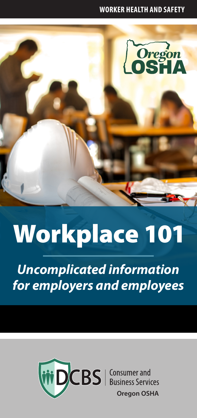#### **WORKER HEALTH AND SAFETY**



# Workplace 101

*Uncomplicated information for employers and employees* 

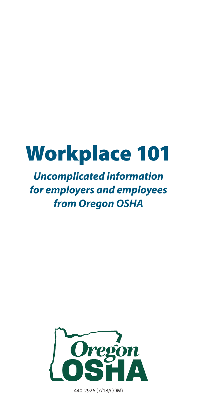## Workplace 101

### *Uncomplicated information for employers and employees from Oregon OSHA*



440-2926 (7/18/COM)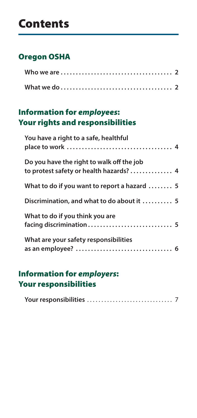## Contents

#### [Oregon OSHA](#page-3-0)

#### [Information for](#page-5-0) *employees*: [Your rights and responsibilities](#page-5-0)

| You have a right to a safe, healthful                                                |  |
|--------------------------------------------------------------------------------------|--|
| Do you have the right to walk off the job<br>to protest safety or health hazards?  4 |  |
| What to do if you want to report a hazard  5                                         |  |
| Discrimination, and what to do about it  5                                           |  |
| What to do if you think you are                                                      |  |
| What are your safety responsibilities                                                |  |

#### [Information for](#page-8-0) *employers*: [Your responsibilities](#page-8-0)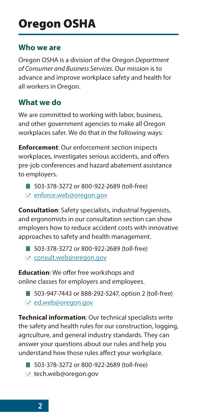#### <span id="page-3-0"></span>**Who we are**

Oregon OSHA is a division of the Oregon *Department of Consumer and Business Services*. Our mission is to advance and improve workplace safety and health for all workers in Oregon.

#### **What we do**

We are committed to working with labor, business, and other government agencies to make all Oregon workplaces safer. We do that in the following ways:

**Enforcement**: Our enforcement section inspects workplaces, investigates serious accidents, and offers pre-job conferences and hazard abatement assistance to employers.

■ 503-378-3272 or 800-922-2689 (toll-free) [enforce.web@oregon.gov](mailto:enforce.web%40oregon.gov?subject=)

**Consultation**: Safety specialists, industrial hygienists, and ergonomists in our consultation section can show employers how to reduce accident costs with innovative approaches to safety and health management.

- 503-378-3272 or 800-922-2689 (toll-free)
- [consult.web@oregon.gov](mailto:consult.web%40oregon.gov?subject=)

**Education**: We offer free workshops and online classes for employers and employees.

■ 503-947-7443 or 888-292-5247, option 2 (toll-free) [ed.web@oregon.gov](mailto:ed.web%40oregon.gov?subject=)

**Technical information**: Our technical specialists write the safety and health rules for our construction, logging, agriculture, and general industry standards. They can answer your questions about our rules and help you understand how those rules affect your workplace.

- 503-378-3272 or 800-922-2689 (toll-free)
- tech.web@oregon.gov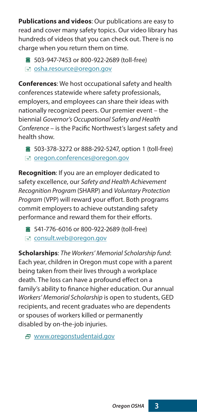**Publications and videos**: Our publications are easy to read and cover many safety topics. Our video library has hundreds of videos that you can check out. There is no charge when you return them on time.

■ 503-947-7453 or 800-922-2689 (toll-free) signal [osha.resource@oregon.gov](mailto:osha.resource%40oregon.gov?subject=)

**Conferences**: We host occupational safety and health conferences statewide where safety professionals, employers, and employees can share their ideas with nationally recognized peers. Our premier event – the biennial *Governor's Occupational Safety and Health Conference* – is the Pacific Northwest's largest safety and health show.

■ 503-378-3272 or 888-292-5247, option 1 (toll-free) [oregon.conferences@oregon.gov](mailto:oregon.conferences%40oregon.gov?subject=)

**Recognition**: If you are an employer dedicated to safety excellence, our *Safety and Health Achievement Recognition Program* (SHARP) and *Voluntary Protection Program* (VPP) will reward your effort. Both programs commit employers to achieve outstanding safety performance and reward them for their efforts.

■ 541-776-6016 or 800-922-2689 (toll-free) [consult.web@oregon.gov](mailto:consult.web%40oregon.gov?subject=)

**Scholarships**: *The Workers' Memorial Scholarship fund*: Each year, children in Oregon must cope with a parent being taken from their lives through a workplace death. The loss can have a profound effect on a family's ability to finance higher education. Our annual *Workers' Memorial Scholarship* is open to students, GED recipients, and recent graduates who are dependents or spouses of workers killed or permanently disabled by on-the-job injuries.

[www.oregonstudentaid.gov](http://www.oregonstudentaid.gov)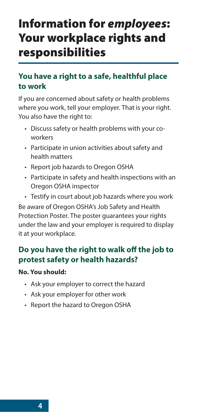## <span id="page-5-0"></span>Information for *employees*: Your workplace rights and responsibilities

#### **You have a right to a safe, healthful place to work**

If you are concerned about safety or health problems where you work, tell your employer. That is your right. You also have the right to:

- Discuss safety or health problems with your coworkers
- Participate in union activities about safety and health matters
- Report job hazards to Oregon OSHA
- Participate in safety and health inspections with an Oregon OSHA inspector
- Testify in court about job hazards where you work

Be aware of Oregon OSHA's Job Safety and Health Protection Poster. The poster guarantees your rights under the law and your employer is required to display it at your workplace.

#### **Do you have the right to walk off the job to protest safety or health hazards?**

#### **No. You should:**

- Ask your employer to correct the hazard
- Ask your employer for other work
- Report the hazard to Oregon OSHA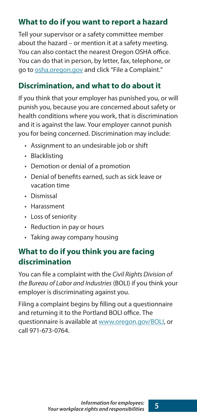#### <span id="page-6-0"></span>**What to do if you want to report a hazard**

Tell your supervisor or a safety committee member about the hazard – or mention it at a safety meeting. You can also contact the nearest Oregon OSHA office. You can do that in person, by letter, fax, telephone, or go to [osha.oregon.gov](http://osha.oregon.gov) and click "File a Complaint."

#### **Discrimination, and what to do about it**

If you think that your employer has punished you, or will punish you, because you are concerned about safety or health conditions where you work, that is discrimination and it is against the law. Your employer cannot punish you for being concerned. Discrimination may include:

- Assignment to an undesirable job or shift
- Blacklisting
- Demotion or denial of a promotion
- Denial of benefits earned, such as sick leave or vacation time
- Dismissal
- Harassment
- Loss of seniority
- Reduction in pay or hours
- Taking away company housing

#### **What to do if you think you are facing discrimination**

You can file a complaint with the *Civil Rights Division of the Bureau of Labor and Industries* (BOLI) if you think your employer is discriminating against you.

Filing a complaint begins by filling out a questionnaire and returning it to the Portland BOLI office. The questionnaire is available at [www.oregon.gov/BOLI,](http://www.oregon.gov/BOLI) or call 971-673-0764.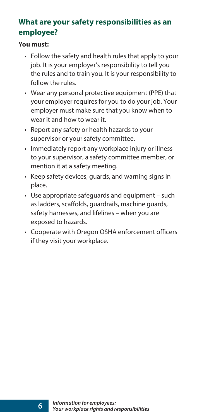#### <span id="page-7-0"></span>**What are your safety responsibilities as an employee?**

#### **You must:**

- Follow the safety and health rules that apply to your job. It is your employer's responsibility to tell you the rules and to train you. It is your responsibility to follow the rules.
- Wear any personal protective equipment (PPE) that your employer requires for you to do your job. Your employer must make sure that you know when to wear it and how to wear it.
- Report any safety or health hazards to your supervisor or your safety committee.
- Immediately report any workplace injury or illness to your supervisor, a safety committee member, or mention it at a safety meeting.
- Keep safety devices, guards, and warning signs in place.
- Use appropriate safeguards and equipment such as ladders, scaffolds, quardrails, machine quards, safety harnesses, and lifelines - when you are exposed to hazards.
- Cooperate with Oregon OSHA enforcement officers if they visit your workplace.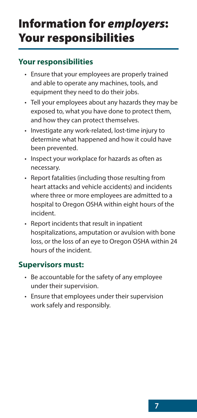## <span id="page-8-0"></span>Information for *employers*: Your responsibilities

#### **Your responsibilities**

- Ensure that your employees are properly trained and able to operate any machines, tools, and equipment they need to do their jobs.
- Tell your employees about any hazards they may be exposed to, what you have done to protect them, and how they can protect themselves.
- Investigate any work-related, lost-time injury to determine what happened and how it could have been prevented.
- Inspect your workplace for hazards as often as necessary.
- Report fatalities (including those resulting from heart attacks and vehicle accidents) and incidents where three or more employees are admitted to a hospital to Oregon OSHA within eight hours of the incident.
- Report incidents that result in inpatient hospitalizations, amputation or avulsion with bone loss, or the loss of an eye to Oregon OSHA within 24 hours of the incident.

#### **Supervisors must:**

- Be accountable for the safety of any employee under their supervision.
- Ensure that employees under their supervision work safely and responsibly.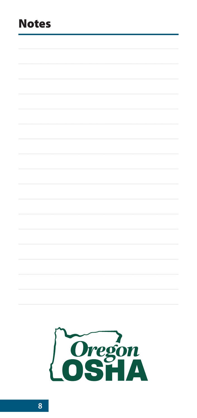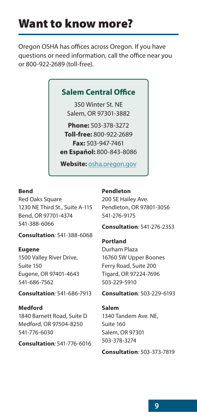## Want to know more?

Oregon OSHA has offices across Oregon. If you have questions or need information, call the office near you or 800-922-2689 (toll-free).

#### **Salem Central Office**

350 Winter St. NE Salem, OR 97301-3882

**Phone:** 503-378-3272 **Toll-free:** 800-922-2689 **Fax:** 503-947-7461 **en Español:** 800-843-8086

**Website:** [osha.oregon.gov](http://osha.oregon.gov)

#### **Bend**

Red Oaks Square 1230 NE Third St., Suite A-115 Bend, OR 97701-4374 541-388-6066

**Consultation***:* 541-388-6068

#### **Eugene**

1500 Valley River Drive, Suite 150 Eugene, OR 97401-4643 541-686-7562

**Consultation***:* 541-686-7913

**Medford** 1840 Barnett Road, Suite D Medford, OR 97504-8250 541-776-6030

**Consultation***:* 541-776-6016

#### **Pendleton**

200 SE Hailey Ave. Pendleton, OR 97801-3056 541-276-9175

**Consultation***:* 541-276-2353

**Portland** Durham Plaza 16760 SW Upper Boones Ferry Road, Suite 200 Tigard, OR 97224-7696 503-229-5910

**Consultation***:* 503-229-6193

#### **Salem**

1340 Tandem Ave. NE, Suite 160 Salem, OR 97301 503-378-3274

**Consultation***:* 503-373-7819